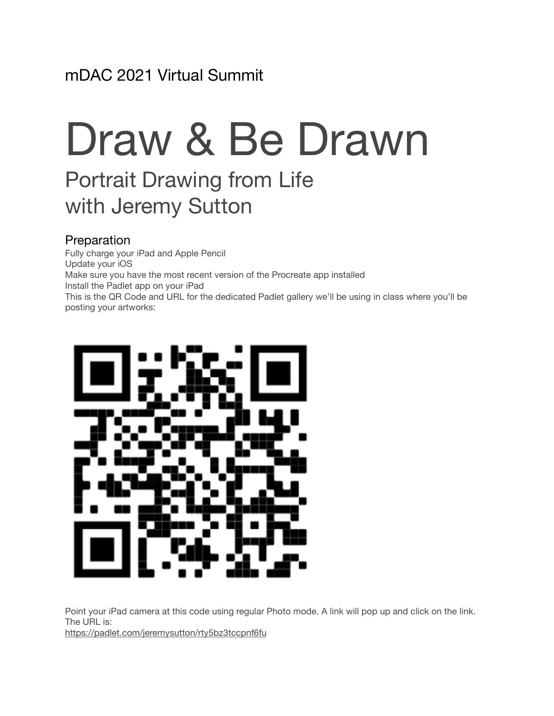# Draw & Be Drawn

# Portrait Drawing from Life with Jeremy Sutton

#### Preparation

Fully charge your iPad and Apple Pencil Update your iOS Make sure you have the most recent version of the Procreate app installed Install the Padlet app on your iPad This is the QR Code and URL for the dedicated Padlet gallery we'll be using in class where you'll be posting your artworks:



Point your iPad camera at this code using regular Photo mode. A link will pop up and click on the link. The URL is:

<https://padlet.com/jeremysutton/rty5bz3tccpnf6fu>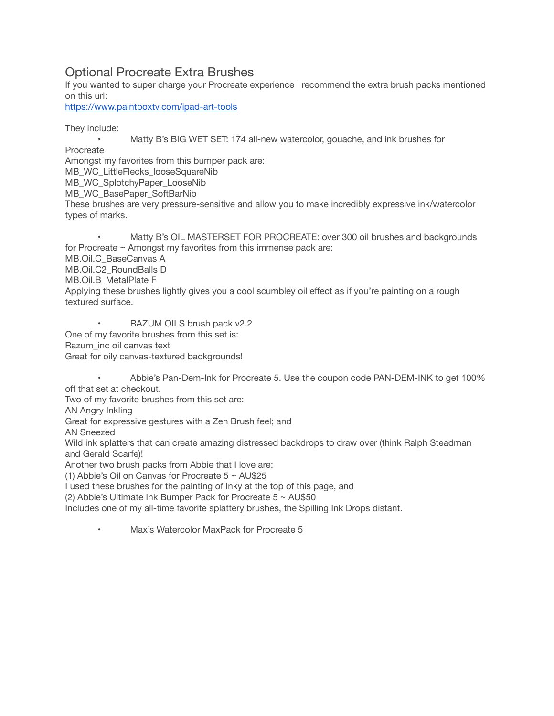#### Optional Procreate Extra Brushes

If you wanted to super charge your Procreate experience I recommend the extra brush packs mentioned on this url:

<https://www.paintboxtv.com/ipad-art-tools>

They include:

 • Matty B's BIG WET SET: 174 all-new watercolor, gouache, and ink brushes for

Procreate

Amongst my favorites from this bumper pack are:

MB\_WC\_LittleFlecks\_looseSquareNib

MB\_WC\_SplotchyPaper\_LooseNib

MB\_WC\_BasePaper\_SoftBarNib

These brushes are very pressure-sensitive and allow you to make incredibly expressive ink/watercolor types of marks.

Matty B's OIL MASTERSET FOR PROCREATE: over 300 oil brushes and backgrounds for Procreate ~ Amongst my favorites from this immense pack are: MB.Oil.C\_BaseCanvas A MB.Oil.C2\_RoundBalls D MB.Oil.B\_MetalPlate F Applying these brushes lightly gives you a cool scumbley oil effect as if you're painting on a rough textured surface.

RAZUM OILS brush pack v2.2 One of my favorite brushes from this set is: Razum\_inc oil canvas text Great for oily canvas-textured backgrounds!

Abbie's Pan-Dem-Ink for Procreate 5. Use the coupon code PAN-DEM-INK to get 100% off that set at checkout.

Two of my favorite brushes from this set are:

AN Angry Inkling

Great for expressive gestures with a Zen Brush feel; and

AN Sneezed

Wild ink splatters that can create amazing distressed backdrops to draw over (think Ralph Steadman and Gerald Scarfe)!

Another two brush packs from Abbie that I love are:

(1) Abbie's Oil on Canvas for Procreate  $5 \sim$  AU\$25

I used these brushes for the painting of Inky at the top of this page, and

(2) Abbie's Ultimate Ink Bumper Pack for Procreate 5 ~ AU\$50

Includes one of my all-time favorite splattery brushes, the Spilling Ink Drops distant.

Max's Watercolor MaxPack for Procreate 5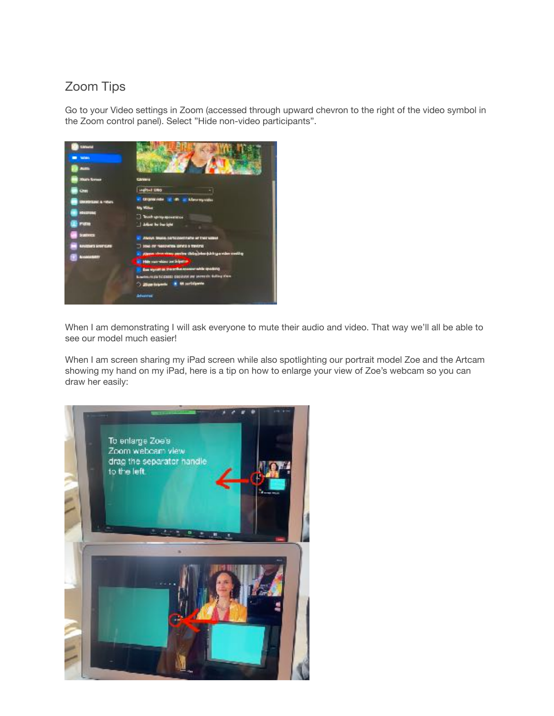### Zoom Tips

Go to your Video settings in Zoom (accessed through upward chevron to the right of the video symbol in the Zoom control panel). Select "Hide non-video participants".



When I am demonstrating I will ask everyone to mute their audio and video. That way we'll all be able to see our model much easier!

When I am screen sharing my iPad screen while also spotlighting our portrait model Zoe and the Artcam showing my hand on my iPad, here is a tip on how to enlarge your view of Zoe's webcam so you can draw her easily: